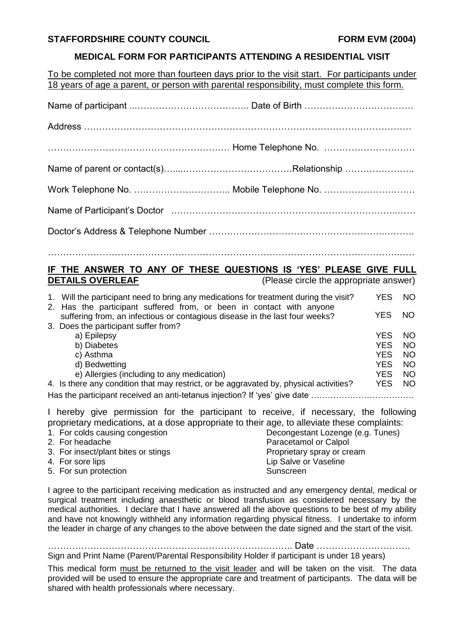## **STAFFORDSHIRE COUNTY COUNCIL FORM EVM (2004)**

# **MEDICAL FORM FOR PARTICIPANTS ATTENDING A RESIDENTIAL VISIT**

To be completed not more than fourteen days prior to the visit start. For participants under 18 years of age a parent, or person with parental responsibility, must complete this form.

…………………………………………………………………………………………………….……

## **IF THE ANSWER TO ANY OF THESE QUESTIONS IS 'YES' PLEASE GIVE FULL DETAILS OVERLEAF** (Please circle the appropriate answer)

|                                                                            | 1. Will the participant need to bring any medications for treatment during the visit?                                                               | YES        | NO.       |
|----------------------------------------------------------------------------|-----------------------------------------------------------------------------------------------------------------------------------------------------|------------|-----------|
|                                                                            | 2. Has the participant suffered from, or been in contact with anyone<br>suffering from, an infectious or contagious disease in the last four weeks? | <b>YES</b> | NO.       |
|                                                                            | 3. Does the participant suffer from?                                                                                                                |            |           |
|                                                                            | a) Epilepsy                                                                                                                                         | YES        | NO.       |
|                                                                            | b) Diabetes                                                                                                                                         | <b>YES</b> | NO.       |
|                                                                            | c) Asthma                                                                                                                                           | <b>YES</b> | <b>NO</b> |
|                                                                            | d) Bedwetting                                                                                                                                       | <b>YES</b> | <b>NO</b> |
|                                                                            | e) Allergies (including to any medication)                                                                                                          | <b>YES</b> | <b>NO</b> |
|                                                                            | 4. Is there any condition that may restrict, or be aggravated by, physical activities?                                                              | <b>YES</b> | NO.       |
| Has the participant received an anti-tetanus injection? If 'yes' give date |                                                                                                                                                     |            |           |

I hereby give permission for the participant to receive, if necessary, the following proprietary medications, at a dose appropriate to their age, to alleviate these complaints:

| 1. For colds causing congestion     | Decongestant Lozenge (e.g. Tunes) |
|-------------------------------------|-----------------------------------|
| 2. For headache                     | Paracetamol or Calpol             |
| 3. For insect/plant bites or stings | Proprietary spray or cream        |
| 4. For sore lips                    | Lip Salve or Vaseline             |
| 5. For sun protection               | Sunscreen                         |

I agree to the participant receiving medication as instructed and any emergency dental, medical or surgical treatment including anaesthetic or blood transfusion as considered necessary by the medical authorities. I declare that I have answered all the above questions to be best of my ability and have not knowingly withheld any information regarding physical fitness. I undertake to inform the leader in charge of any changes to the above between the date signed and the start of the visit.

……………………………………………………………….…….. Date …………………………. Sign and Print Name (Parent/Parental Responsibility Holder if participant is under 18 years)

This medical form must be returned to the visit leader and will be taken on the visit. The data provided will be used to ensure the appropriate care and treatment of participants. The data will be shared with health professionals where necessary.